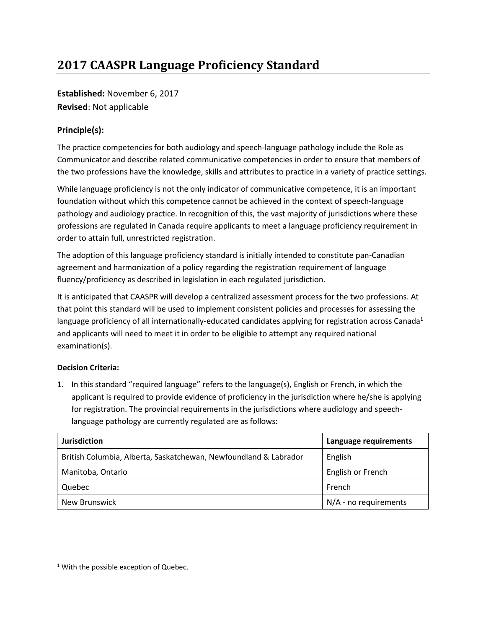## **2017 CAASPR Language Proficiency Standard**

**Established:** November 6, 2017 **Revised**: Not applicable

## **Principle(s):**

The practice competencies for both audiology and speech-language pathology include the Role as Communicator and describe related communicative competencies in order to ensure that members of the two professions have the knowledge, skills and attributes to practice in a variety of practice settings.

While language proficiency is not the only indicator of communicative competence, it is an important foundation without which this competence cannot be achieved in the context of speech-language pathology and audiology practice. In recognition of this, the vast majority of jurisdictions where these professions are regulated in Canada require applicants to meet a language proficiency requirement in order to attain full, unrestricted registration.

The adoption of this language proficiency standard is initially intended to constitute pan-Canadian agreement and harmonization of a policy regarding the registration requirement of language fluency/proficiency as described in legislation in each regulated jurisdiction.

It is anticipated that CAASPR will develop a centralized assessment process for the two professions. At that point this standard will be used to implement consistent policies and processes for assessing the language proficiency of all internationally-educated candidates applying for registration across Canada<sup>1</sup> and applicants will need to meet it in order to be eligible to attempt any required national examination(s).

## **Decision Criteria:**

1. In this standard "required language" refers to the language(s), English or French, in which the applicant is required to provide evidence of proficiency in the jurisdiction where he/she is applying for registration. The provincial requirements in the jurisdictions where audiology and speechlanguage pathology are currently regulated are as follows:

| <b>Jurisdiction</b>                                              | Language requirements   |
|------------------------------------------------------------------|-------------------------|
| British Columbia, Alberta, Saskatchewan, Newfoundland & Labrador | English                 |
| Manitoba, Ontario                                                | English or French       |
| Quebec                                                           | French                  |
| New Brunswick                                                    | $N/A$ - no requirements |

 $\overline{\phantom{a}}$ 

<sup>&</sup>lt;sup>1</sup> With the possible exception of Quebec.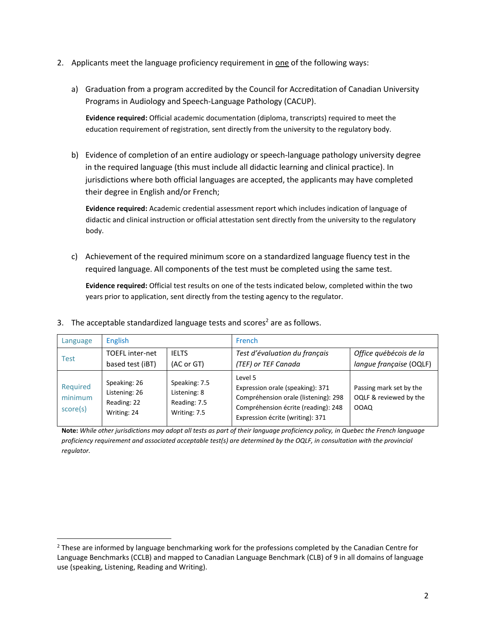- 2. Applicants meet the language proficiency requirement in one of the following ways:
	- a) Graduation from a program accredited by the Council for Accreditation of Canadian University Programs in Audiology and Speech-Language Pathology (CACUP).

**Evidence required:** Official academic documentation (diploma, transcripts) required to meet the education requirement of registration, sent directly from the university to the regulatory body.

b) Evidence of completion of an entire audiology or speech-language pathology university degree in the required language (this must include all didactic learning and clinical practice). In jurisdictions where both official languages are accepted, the applicants may have completed their degree in English and/or French;

**Evidence required:** Academic credential assessment report which includes indication of language of didactic and clinical instruction or official attestation sent directly from the university to the regulatory body.

c) Achievement of the required minimum score on a standardized language fluency test in the required language. All components of the test must be completed using the same test.

**Evidence required:** Official test results on one of the tests indicated below, completed within the two years prior to application, sent directly from the testing agency to the regulator.

| Language                        | English                                                     |                                                               | <b>French</b>                                                                                                                                                  |                                                                  |
|---------------------------------|-------------------------------------------------------------|---------------------------------------------------------------|----------------------------------------------------------------------------------------------------------------------------------------------------------------|------------------------------------------------------------------|
| Test                            | <b>TOEFL</b> inter-net<br>based test (iBT)                  | <b>IELTS</b><br>(AC or GT)                                    | Test d'évaluation du français<br>(TEF) or TEF Canada                                                                                                           | Office québécois de la<br>langue française (OQLF)                |
| Required<br>minimum<br>score(s) | Speaking: 26<br>Listening: 26<br>Reading: 22<br>Writing: 24 | Speaking: 7.5<br>Listening: 8<br>Reading: 7.5<br>Writing: 7.5 | Level 5<br>Expression orale (speaking): 371<br>Compréhension orale (listening): 298<br>Compréhension écrite (reading): 248<br>Expression écrite (writing): 371 | Passing mark set by the<br>OQLF & reviewed by the<br><b>OOAQ</b> |

3. The acceptable standardized language tests and scores<sup>2</sup> are as follows.

 $\overline{a}$ 

**Note:** *While other jurisdictions may adopt all tests as part of their language proficiency policy, in Quebec the French language proficiency requirement and associated acceptable test(s) are determined by the OQLF, in consultation with the provincial regulator.*

 $<sup>2</sup>$  These are informed by language benchmarking work for the professions completed by the Canadian Centre for</sup> Language Benchmarks (CCLB) and mapped to Canadian Language Benchmark (CLB) of 9 in all domains of language use (speaking, Listening, Reading and Writing).